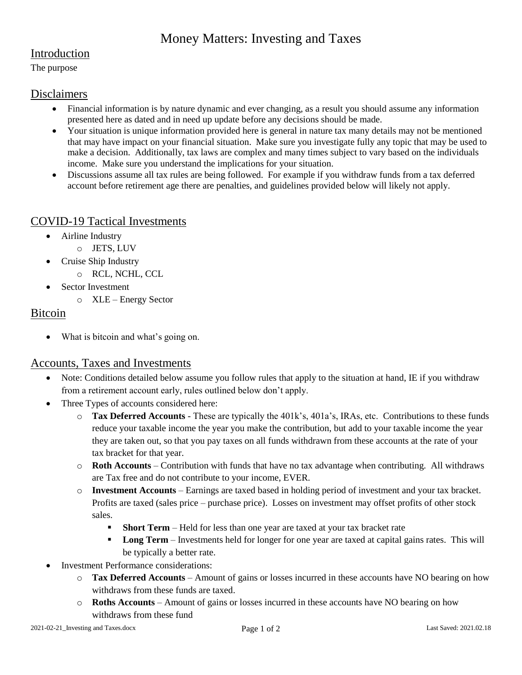# Money Matters: Investing and Taxes

### Introduction

The purpose

#### Disclaimers

- Financial information is by nature dynamic and ever changing, as a result you should assume any information presented here as dated and in need up update before any decisions should be made.
- Your situation is unique information provided here is general in nature tax many details may not be mentioned that may have impact on your financial situation. Make sure you investigate fully any topic that may be used to make a decision. Additionally, tax laws are complex and many times subject to vary based on the individuals income. Make sure you understand the implications for your situation.
- Discussions assume all tax rules are being followed. For example if you withdraw funds from a tax deferred account before retirement age there are penalties, and guidelines provided below will likely not apply.

#### COVID-19 Tactical Investments

- Airline Industry
	- o JETS, LUV
- Cruise Ship Industry
	- o RCL, NCHL, CCL
- Sector Investment
	- o XLE Energy Sector

### Bitcoin

What is bitcoin and what's going on.

### Accounts, Taxes and Investments

- Note: Conditions detailed below assume you follow rules that apply to the situation at hand, IE if you withdraw from a retirement account early, rules outlined below don't apply.
- Three Types of accounts considered here:
	- o **Tax Deferred Accounts** These are typically the 401k's, 401a's, IRAs, etc. Contributions to these funds reduce your taxable income the year you make the contribution, but add to your taxable income the year they are taken out, so that you pay taxes on all funds withdrawn from these accounts at the rate of your tax bracket for that year.
	- o **Roth Accounts** Contribution with funds that have no tax advantage when contributing. All withdraws are Tax free and do not contribute to your income, EVER.
	- o **Investment Accounts**  Earnings are taxed based in holding period of investment and your tax bracket. Profits are taxed (sales price – purchase price). Losses on investment may offset profits of other stock sales.
		- **Short Term** Held for less than one year are taxed at your tax bracket rate
		- **Long Term** Investments held for longer for one year are taxed at capital gains rates. This will be typically a better rate.
- Investment Performance considerations:
	- o **Tax Deferred Accounts** Amount of gains or losses incurred in these accounts have NO bearing on how withdraws from these funds are taxed.
	- o **Roths Accounts** Amount of gains or losses incurred in these accounts have NO bearing on how withdraws from these fund